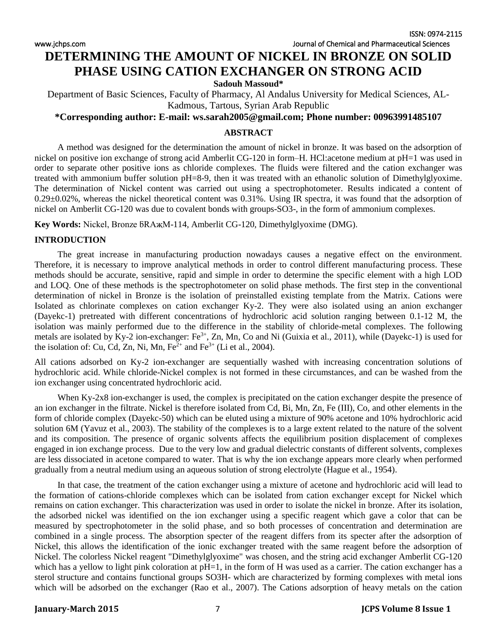[www.jchps.com](http://www.jchps.com/) Journal of Chemical and Pharmaceutical Sciences

# **DETERMINING THE AMOUNT OF NICKEL IN BRONZE ON SOLID PHASE USING CATION EXCHANGER ON STRONG ACID**

**Sadouh Massoud\***

Department of Basic Sciences, Faculty of Pharmacy, Al Andalus University for Medical Sciences, AL-Kadmous, Tartous, Syrian Arab Republic

# **\*Corresponding author: E-mail: ws.sarah2005@gmail.com; Phone number: 00963991485107**

### **ABSTRACT**

A method was designed for the determination the amount of nickel in bronze. It was based on the adsorption of nickel on positive ion exchange of strong acid Amberlit CG-120 in form–H. HCl:acetone medium at pH=1 was used in order to separate other positive ions as chloride complexes. The fluids were filtered and the cation exchanger was treated with ammonium buffer solution pH=8-9, then it was treated with an ethanolic solution of Dimethylglyoxime. The determination of Nickel content was carried out using a spectrophotometer. Results indicated a content of  $0.29\pm0.02\%$ , whereas the nickel theoretical content was  $0.31\%$ . Using IR spectra, it was found that the adsorption of nickel on Amberlit CG-120 was due to covalent bonds with groups-SO3-, in the form of ammonium complexes.

Key Words: Nickel, Bronze  $\beta$ RA<sub>K</sub>M-114, Amberlit CG-120, Dimethylglyoxime (DMG).

### **INTRODUCTION**

The great increase in manufacturing production nowadays causes a negative effect on the environment. Therefore, it is necessary to improve analytical methods in order to control different manufacturing process. These methods should be accurate, sensitive, rapid and simple in order to determine the specific element with a high LOD and LOQ. One of these methods is the spectrophotometer on solid phase methods. The first step in the conventional determination of nickel in Bronze is the isolation of preinstalled existing template from the Matrix. Cations were Isolated as chlorinate complexes on cation exchanger Ky-2. They were also isolated using an anion exchanger (Dayekc-1) pretreated with different concentrations of hydrochloric acid solution ranging between 0.1-12 M, the isolation was mainly performed due to the difference in the stability of chloride-metal complexes. The following metals are isolated by Ky-2 ion-exchanger: Fe<sup>3+</sup>, Zn, Mn, Co and Ni (Guixia et al., 2011), while (Dayekc-1) is used for the isolation of: Cu, Cd, Zn, Ni, Mn,  $Fe^{2+}$  and  $Fe^{3+}$  (Li et al., 2004).

All cations adsorbed on Ky-2 ion-exchanger are sequentially washed with increasing concentration solutions of hydrochloric acid. While chloride-Nickel complex is not formed in these circumstances, and can be washed from the ion exchanger using concentrated hydrochloric acid.

When Ky-2x8 ion-exchanger is used, the complex is precipitated on the cation exchanger despite the presence of an ion exchanger in the filtrate. Nickel is therefore isolated from Cd, Bi, Mn, Zn, Fe (III), Co, and other elements in the form of chloride complex (Dayekc-50) which can be eluted using a mixture of 90% acetone and 10% hydrochloric acid solution 6M (Yavuz et al., 2003). The stability of the complexes is to a large extent related to the nature of the solvent and its composition. The presence of organic solvents affects the equilibrium position displacement of complexes engaged in ion exchange process. Due to the very low and gradual dielectric constants of different solvents, complexes are less dissociated in acetone compared to water. That is why the ion exchange appears more clearly when performed gradually from a neutral medium using an aqueous solution of strong electrolyte (Hague et al., 1954).

In that case, the treatment of the cation exchanger using a mixture of acetone and hydrochloric acid will lead to the formation of cations-chloride complexes which can be isolated from cation exchanger except for Nickel which remains on cation exchanger. This characterization was used in order to isolate the nickel in bronze. After its isolation, the adsorbed nickel was identified on the ion exchanger using a specific reagent which gave a color that can be measured by spectrophotometer in the solid phase, and so both processes of concentration and determination are combined in a single process. The absorption specter of the reagent differs from its specter after the adsorption of Nickel, this allows the identification of the ionic exchanger treated with the same reagent before the adsorption of Nickel. The colorless Nickel reagent "Dimethylglyoxime" was chosen, and the string acid exchanger Amberlit CG-120 which has a yellow to light pink coloration at pH=1, in the form of H was used as a carrier. The cation exchanger has a sterol structure and contains functional groups SO3H- which are characterized by forming complexes with metal ions which will be adsorbed on the exchanger (Rao et al., 2007). The Cations adsorption of heavy metals on the cation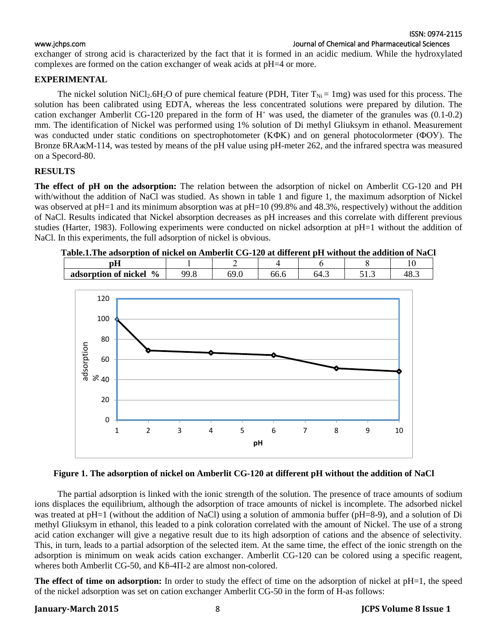ISSN: 0974-2115 [www.jchps.com](http://www.jchps.com/) Journal of Chemical and Pharmaceutical Sciences

exchanger of strong acid is characterized by the fact that it is formed in an acidic medium. While the hydroxylated complexes are formed on the cation exchanger of weak acids at pH=4 or more.

### **EXPERIMENTAL**

The nickel solution NiCl<sub>2</sub>.6H<sub>2</sub>O of pure chemical feature (PDH, Titer  $T_{\text{Ni}} = 1 \text{mg}$ ) was used for this process. The solution has been calibrated using EDTA, whereas the less concentrated solutions were prepared by dilution. The cation exchanger Amberlit CG-120 prepared in the form of  $H<sup>+</sup>$  was used, the diameter of the granules was  $(0.1-0.2)$ mm. The identification of Nickel was performed using 1% solution of Di methyl Gliuksym in ethanol. Measurement was conducted under static conditions on spectrophotometer (KФK) and on general photocolormeter (ФОУ). The Bronze БRAҗM-114, was tested by means of the pH value using pH-meter 262, and the infrared spectra was measured on a Specord-80.

### **RESULTS**

**The effect of pH on the adsorption:** The relation between the adsorption of nickel on Amberlit CG-120 and PH with/without the addition of NaCl was studied. As shown in table 1 and figure 1, the maximum adsorption of Nickel was observed at pH=1 and its minimum absorption was at pH=10 (99.8% and 48.3%, respectively) without the addition of NaCl. Results indicated that Nickel absorption decreases as pH increases and this correlate with different previous studies (Harter, 1983). Following experiments were conducted on nickel adsorption at pH=1 without the addition of NaCl. In this experiments, the full adsorption of nickel is obvious.

**Table.1.The adsorption of nickel on Amberlit CG-120 at different pH without the addition of NaCl**

| рH                     |           | -    |      |      |        |     |
|------------------------|-----------|------|------|------|--------|-----|
| adsorption of nickel % | ററ<br>৴•◡ | UJ.U | 00.0 | 64.3 | ن. 1 ب | 48. |
|                        |           |      |      |      |        |     |



### **Figure 1. The adsorption of nickel on Amberlit CG-120 at different pH without the addition of NaCl**

The partial adsorption is linked with the ionic strength of the solution. The presence of trace amounts of sodium ions displaces the equilibrium, although the adsorption of trace amounts of nickel is incomplete. The adsorbed nickel was treated at pH=1 (without the addition of NaCl) using a solution of ammonia buffer (pH=8-9), and a solution of Di methyl Gliuksym in ethanol, this leaded to a pink coloration correlated with the amount of Nickel. The use of a strong acid cation exchanger will give a negative result due to its high adsorption of cations and the absence of selectivity. This, in turn, leads to a partial adsorption of the selected item. At the same time, the effect of the ionic strength on the adsorption is minimum on weak acids cation exchanger. Amberlit CG-120 can be colored using a specific reagent, wheres both Amberlit CG-50, and  $K5-4\Pi-2$  are almost non-colored.

**The effect of time on adsorption:** In order to study the effect of time on the adsorption of nickel at pH=1, the speed of the nickel adsorption was set on cation exchanger Amberlit CG-50 in the form of H-as follows: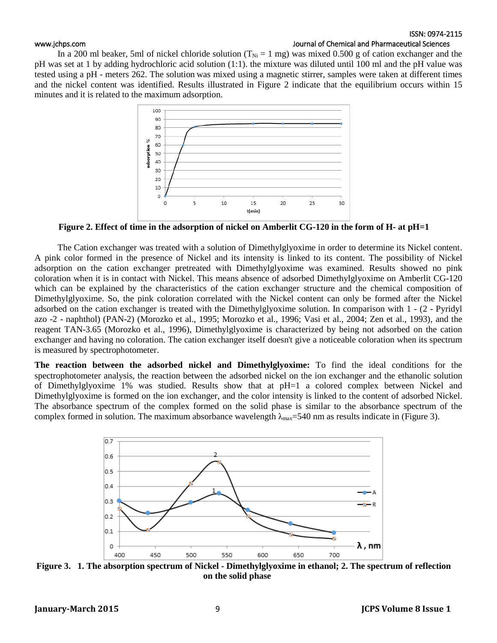### ISSN: 0974-2115

### [www.jchps.com](http://www.jchps.com/) **Journal of Chemical and Pharmaceutical Sciences**

In a 200 ml beaker, 5ml of nickel chloride solution ( $T_{Ni} = 1$  mg) was mixed 0.500 g of cation exchanger and the pH was set at 1 by adding hydrochloric acid solution (1:1). the mixture was diluted until 100 ml and the pH value was tested using a pH - meters 262. The solution was mixed using a magnetic stirrer, samples were taken at different times and the nickel content was identified. Results illustrated in Figure 2 indicate that the equilibrium occurs within 15 minutes and it is related to the maximum adsorption.



**Figure 2. Effect of time in the adsorption of nickel on Amberlit CG-120 in the form of H- at pH=1**

The Cation exchanger was treated with a solution of Dimethylglyoxime in order to determine its Nickel content. A pink color formed in the presence of Nickel and its intensity is linked to its content. The possibility of Nickel adsorption on the cation exchanger pretreated with Dimethylglyoxime was examined. Results showed no pink coloration when it is in contact with Nickel. This means absence of adsorbed Dimethylglyoxime on Amberlit CG-120 which can be explained by the characteristics of the cation exchanger structure and the chemical composition of Dimethylglyoxime. So, the pink coloration correlated with the Nickel content can only be formed after the Nickel adsorbed on the cation exchanger is treated with the Dimethylglyoxime solution. In comparison with 1 - (2 - Pyridyl azo -2 - naphthol) (PAN-2) (Morozko et al., 1995; Morozko et al., 1996; Vasi et al., 2004; Zen et al., 1993), and the reagent TAN-3.65 (Morozko et al., 1996), Dimethylglyoxime is characterized by being not adsorbed on the cation exchanger and having no coloration. The cation exchanger itself doesn't give a noticeable coloration when its spectrum is measured by spectrophotometer.

**The reaction between the adsorbed nickel and Dimethylglyoxime:** To find the ideal conditions for the spectrophotometer analysis, the reaction between the adsorbed nickel on the ion exchanger and the ethanolic solution of Dimethylglyoxime 1% was studied. Results show that at pH=1 a colored complex between Nickel and Dimethylglyoxime is formed on the ion exchanger, and the color intensity is linked to the content of adsorbed Nickel. The absorbance spectrum of the complex formed on the solid phase is similar to the absorbance spectrum of the complex formed in solution. The maximum absorbance wavelength  $\lambda_{\text{max}}$ =540 nm as results indicate in (Figure 3).



**Figure 3. 1. The absorption spectrum of Nickel - Dimethylglyoxime in ethanol; 2. The spectrum of reflection on the solid phase**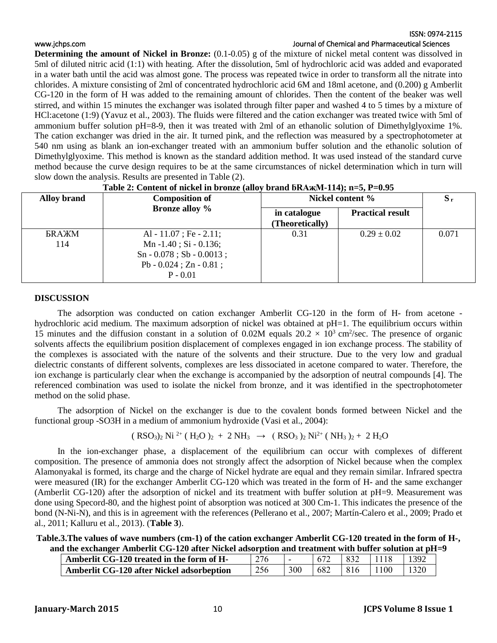### ISSN: 0974-2115 [www.jchps.com](http://www.jchps.com/) **Journal of Chemical and Pharmaceutical Sciences**

**Determining the amount of Nickel in Bronze:** (0.1-0.05) g of the mixture of nickel metal content was dissolved in 5ml of diluted nitric acid (1:1) with heating. After the dissolution, 5ml of hydrochloric acid was added and evaporated in a water bath until the acid was almost gone. The process was repeated twice in order to transform all the nitrate into chlorides. A mixture consisting of 2ml of concentrated hydrochloric acid 6M and 18ml acetone, and (0.200) g Amberlit CG-120 in the form of H was added to the remaining amount of chlorides. Then the content of the beaker was well stirred, and within 15 minutes the exchanger was isolated through filter paper and washed 4 to 5 times by a mixture of HCl:acetone (1:9) (Yavuz et al., 2003). The fluids were filtered and the cation exchanger was treated twice with 5ml of ammonium buffer solution pH=8-9, then it was treated with 2ml of an ethanolic solution of Dimethylglyoxime 1%. The cation exchanger was dried in the air. It turned pink, and the reflection was measured by a spectrophotometer at 540 nm using as blank an ion-exchanger treated with an ammonium buffer solution and the ethanolic solution of Dimethylglyoxime. This method is known as the standard addition method. It was used instead of the standard curve method because the curve design requires to be at the same circumstances of nickel determination which in turn will slow down the analysis. Results are presented in Table (2).

| <b>Alloy brand</b>         | <b>Composition of</b>                                                                                                             | Nickel content %                | $S_r$                   |       |
|----------------------------|-----------------------------------------------------------------------------------------------------------------------------------|---------------------------------|-------------------------|-------|
|                            | <b>Bronze</b> alloy %                                                                                                             | in catalogue<br>(Theoretically) | <b>Practical result</b> |       |
| <b><i>BRAXM</i></b><br>114 | Al - 11.07; Fe - 2.11;<br>Mn $-1.40$ ; Si $-0.136$ ;<br>$Sn - 0.078$ ; Sb - 0.0013;<br>Pb - $0.024$ ; Zn - $0.81$ ;<br>$P - 0.01$ | 0.31                            | $0.29 \pm 0.02$         | 0.071 |

### Table 2: Content of nickel in bronze (alloy brand  $\text{bRAxM-114}$ ); n=5, P=0.95

### **DISCUSSION**

The adsorption was conducted on cation exchanger Amberlit CG-120 in the form of H- from acetone hydrochloric acid medium. The maximum adsorption of nickel was obtained at pH=1. The equilibrium occurs within 15 minutes and the diffusion constant in a solution of 0.02M equals  $20.2 \times 10^3$  cm<sup>2</sup>/sec. The presence of organic solvents affects the equilibrium position displacement of complexes engaged in ion exchange process. The stability of the complexes is associated with the nature of the solvents and their structure. Due to the very low and gradual dielectric constants of different solvents, complexes are less dissociated in acetone compared to water. Therefore, the ion exchange is particularly clear when the exchange is accompanied by the adsorption of neutral compounds [4]. The referenced combination was used to isolate the nickel from bronze, and it was identified in the spectrophotometer method on the solid phase.

The adsorption of Nickel on the exchanger is due to the covalent bonds formed between Nickel and the functional group -SO3H in a medium of ammonium hydroxide (Vasi et al., 2004):

$$
(RSO3)2 Ni2+ (H2O)2 + 2 NH3 \rightarrow (RSO3)2 Ni2+ (NH3)2 + 2 H2O
$$

In the ion-exchanger phase, a displacement of the equilibrium can occur with complexes of different composition. The presence of ammonia does not strongly affect the adsorption of Nickel because when the complex Alamonyakal is formed, its charge and the charge of Nickel hydrate are equal and they remain similar. Infrared spectra were measured (IR) for the exchanger Amberlit CG-120 which was treated in the form of H- and the same exchanger (Amberlit CG-120) after the adsorption of nickel and its treatment with buffer solution at pH=9. Measurement was done using Specord-80, and the highest point of absorption was noticed at 300 Cm-1. This indicates the presence of the bond (N-Ni-N), and this is in agreement with the references (Pellerano et al., 2007; Martín-Calero et al., 2009; Prado et al., 2011; Kalluru et al., 2013). (**Table 3**).

**Table.3.The values of wave numbers (cm-1) of the cation exchanger Amberlit CG-120 treated in the form of H-, and the exchanger Amberlit CG-120 after Nickel adsorption and treatment with buffer solution at pH=9**

| Amberlit CG-120 treated in the form of H- | 276 |     |     | 832 | 1118 | 1392 |
|-------------------------------------------|-----|-----|-----|-----|------|------|
| Amberlit CG-120 after Nickel adsorbeption | 256 | 300 | 682 | 816 | 1100 |      |